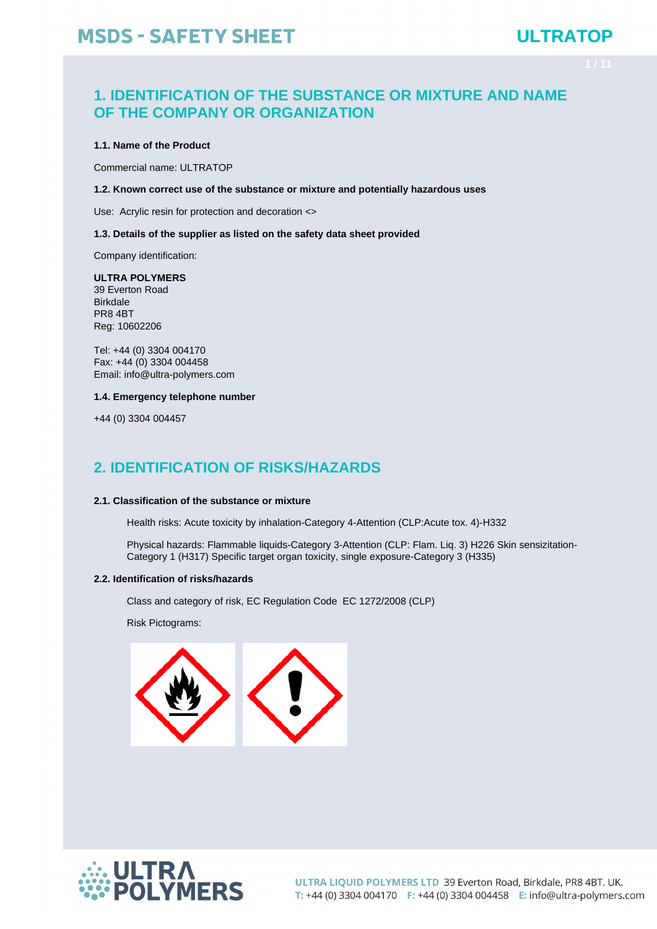## **ULTRATOP**

### **1. IDENTIFICATION OF THE SUBSTANCE OR MIXTURE AND NAME OF THE COMPANY OR ORGANIZATION**

#### **1.1. Name of the Product**

Commercial name: ULTRATOP

### **1.2. Known correct use of the substance or mixture and potentially hazardous uses**

Use: Acrylic resin for protection and decoration <>

### **1.3. Details of the supplier as listed on the safety data sheet provided**

Company identification:

### **ULTRA POLYMERS**

39 Everton Road Birkdale PR8 4BT Reg: 10602206

Tel: +44 (0) 3304 004170 Fax: +44 (0) 3304 004458 Email: info@ultra-polymers.com

#### **1.4. Emergency telephone number**

+44 (0) 3304 004457

### **2. IDENTIFICATION OF RISKS/HAZARDS**

### **2.1. Classification of the substance or mixture**

Health risks: Acute toxicity by inhalation-Category 4-Attention (CLP:Acute tox. 4)-H332

Physical hazards: Flammable liquids-Category 3-Attention (CLP: Flam. Liq. 3) H226 Skin sensizitation-Category 1 (H317) Specific target organ toxicity, single exposure-Category 3 (H335)

### **2.2. Identification of risks/hazards**

Class and category of risk, EC Regulation Code EC 1272/2008 (CLP)

Risk Pictograms:



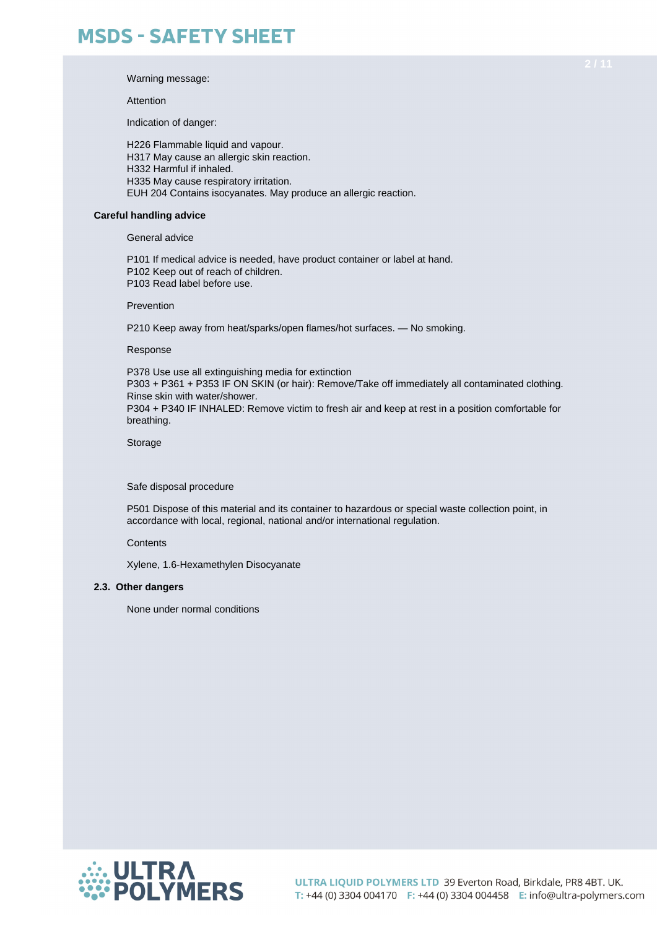Warning message:

Attention

Indication of danger:

H226 Flammable liquid and vapour. H317 May cause an allergic skin reaction. H332 Harmful if inhaled. H335 May cause respiratory irritation. EUH 204 Contains isocyanates. May produce an allergic reaction.

### **Careful handling advice**

General advice

P101 If medical advice is needed, have product container or label at hand. P102 Keep out of reach of children.

P103 Read label before use.

Prevention

P210 Keep away from heat/sparks/open flames/hot surfaces. — No smoking.

Response

P378 Use use all extinguishing media for extinction P303 + P361 + P353 IF ON SKIN (or hair): Remove/Take off immediately all contaminated clothing. Rinse skin with water/shower. P304 + P340 IF INHALED: Remove victim to fresh air and keep at rest in a position comfortable for breathing.

**Storage** 

Safe disposal procedure

P501 Dispose of this material and its container to hazardous or special waste collection point, in accordance with local, regional, national and/or international regulation.

**Contents** 

Xylene, 1.6-Hexamethylen Disocyanate

### **2.3. Other dangers**

None under normal conditions

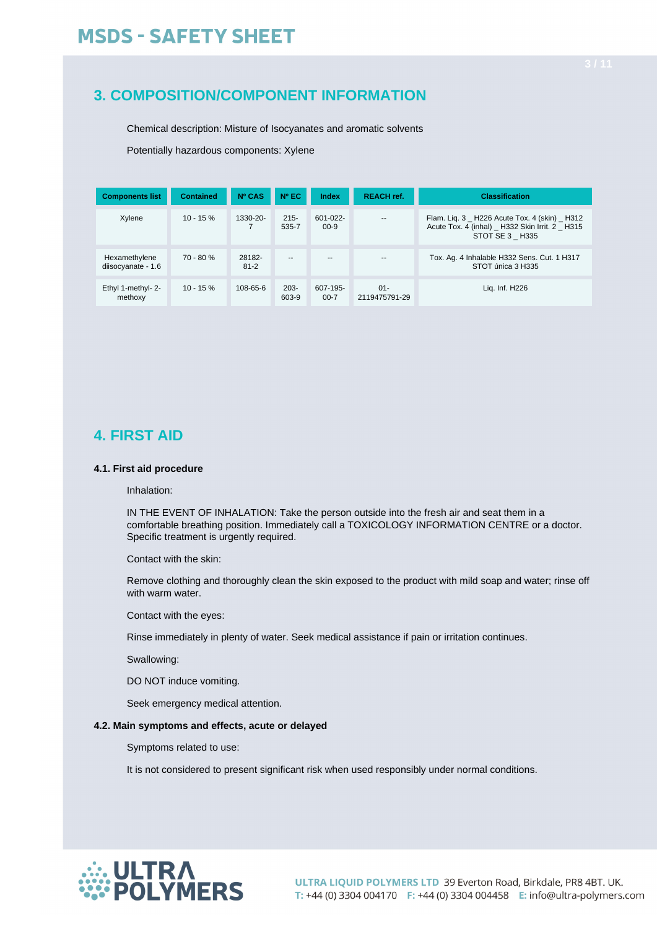### **3. COMPOSITION/COMPONENT INFORMATION**

Chemical description: Misture of Isocyanates and aromatic solvents

Potentially hazardous components: Xylene

| <b>Components list</b>              | <b>Contained</b> | Nº CAS             | $N^{\circ}$ EC   | Index                     | <b>REACH ref.</b>       | <b>Classification</b>                                                                                          |  |
|-------------------------------------|------------------|--------------------|------------------|---------------------------|-------------------------|----------------------------------------------------------------------------------------------------------------|--|
| Xylene                              | $10 - 15 \%$     | 1330-20-           | $215 -$<br>535-7 | $601 - 022 -$<br>$00 - 9$ | $\overline{a}$          | Flam. Lig. 3 H226 Acute Tox. 4 (skin) H312<br>Acute Tox. 4 (inhal) _ H332 Skin Irrit. 2 H315<br>STOT SE 3 H335 |  |
| Hexamethylene<br>diisocyanate - 1.6 | $70 - 80 %$      | 28182-<br>$81 - 2$ | $-$              | $-$                       |                         | Tox. Ag. 4 Inhalable H332 Sens. Cut. 1 H317<br>STOT única 3 H335                                               |  |
| Ethyl 1-methyl- 2-<br>methoxy       | $10 - 15 \%$     | $108 - 65 - 6$     | $203 -$<br>603-9 | 607-195-<br>$00 - 7$      | $01 -$<br>2119475791-29 | Lig. Inf. H226                                                                                                 |  |

### **4. FIRST AID**

### **4.1. First aid procedure**

Inhalation:

IN THE EVENT OF INHALATION: Take the person outside into the fresh air and seat them in a comfortable breathing position. Immediately call a TOXICOLOGY INFORMATION CENTRE or a doctor. Specific treatment is urgently required.

Contact with the skin:

Remove clothing and thoroughly clean the skin exposed to the product with mild soap and water; rinse off with warm water.

Contact with the eyes:

Rinse immediately in plenty of water. Seek medical assistance if pain or irritation continues.

Swallowing:

DO NOT induce vomiting.

Seek emergency medical attention.

### **4.2. Main symptoms and effects, acute or delayed**

Symptoms related to use:

It is not considered to present significant risk when used responsibly under normal conditions.

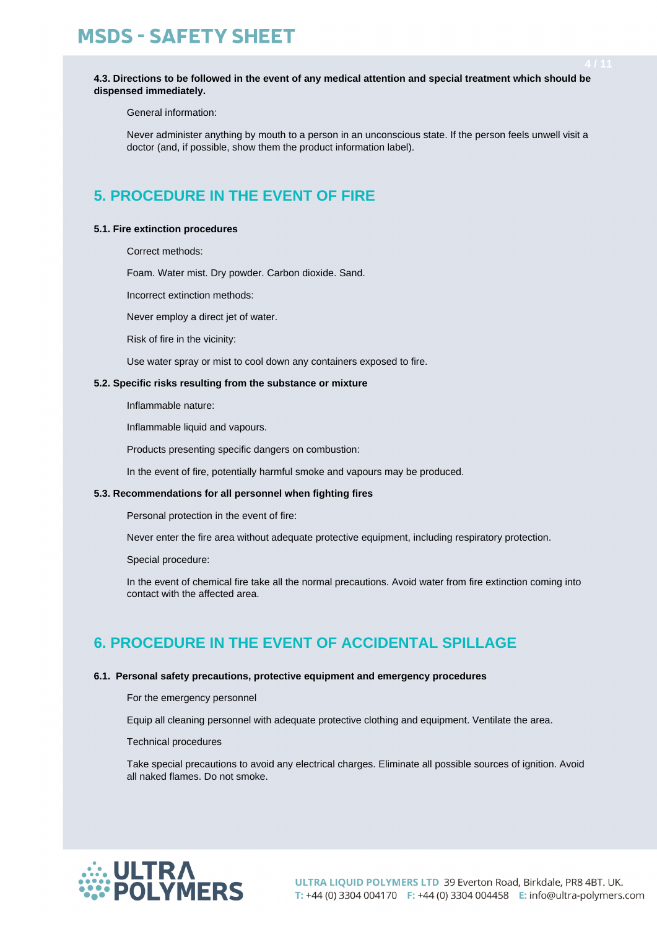**4.3. Directions to be followed in the event of any medical attention and special treatment which should be dispensed immediately.**

General information:

Never administer anything by mouth to a person in an unconscious state. If the person feels unwell visit a doctor (and, if possible, show them the product information label).

## **5. PROCEDURE IN THE EVENT OF FIRE**

### **5.1. Fire extinction procedures**

Correct methods:

Foam. Water mist. Dry powder. Carbon dioxide. Sand.

Incorrect extinction methods:

Never employ a direct jet of water.

Risk of fire in the vicinity:

Use water spray or mist to cool down any containers exposed to fire.

### **5.2. Specific risks resulting from the substance or mixture**

Inflammable nature:

Inflammable liquid and vapours.

Products presenting specific dangers on combustion:

In the event of fire, potentially harmful smoke and vapours may be produced.

### **5.3. Recommendations for all personnel when fighting fires**

Personal protection in the event of fire:

Never enter the fire area without adequate protective equipment, including respiratory protection.

Special procedure:

In the event of chemical fire take all the normal precautions. Avoid water from fire extinction coming into contact with the affected area.

### **6. PROCEDURE IN THE EVENT OF ACCIDENTAL SPILLAGE**

### **6.1. Personal safety precautions, protective equipment and emergency procedures**

For the emergency personnel

Equip all cleaning personnel with adequate protective clothing and equipment. Ventilate the area.

Technical procedures

Take special precautions to avoid any electrical charges. Eliminate all possible sources of ignition. Avoid all naked flames. Do not smoke.

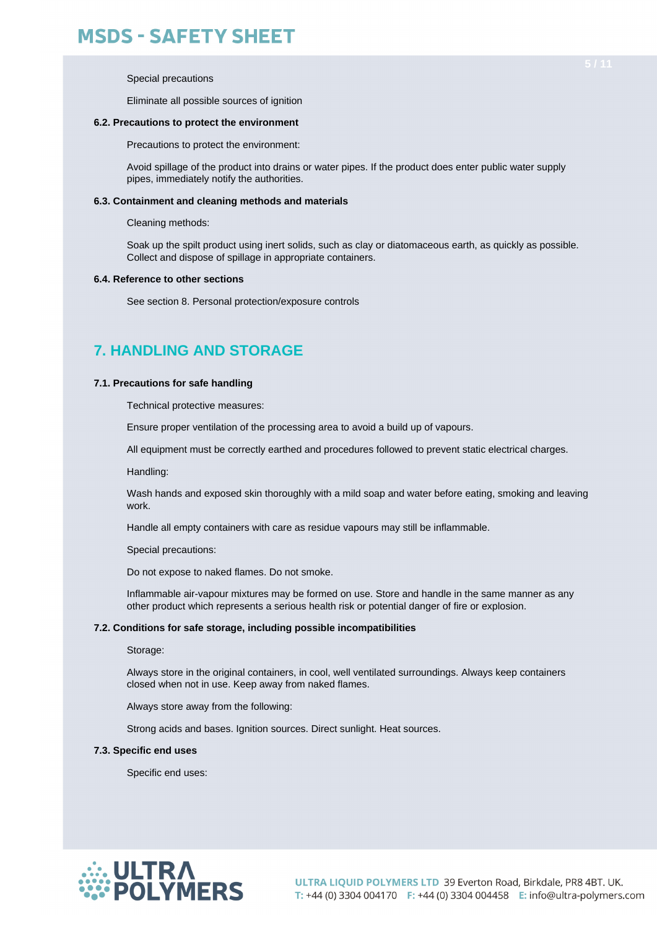Special precautions

Eliminate all possible sources of ignition

#### **6.2. Precautions to protect the environment**

Precautions to protect the environment:

Avoid spillage of the product into drains or water pipes. If the product does enter public water supply pipes, immediately notify the authorities.

#### **6.3. Containment and cleaning methods and materials**

Cleaning methods:

Soak up the spilt product using inert solids, such as clay or diatomaceous earth, as quickly as possible. Collect and dispose of spillage in appropriate containers.

#### **6.4. Reference to other sections**

See section 8. Personal protection/exposure controls

### **7. HANDLING AND STORAGE**

#### **7.1. Precautions for safe handling**

Technical protective measures:

Ensure proper ventilation of the processing area to avoid a build up of vapours.

All equipment must be correctly earthed and procedures followed to prevent static electrical charges.

Handling:

Wash hands and exposed skin thoroughly with a mild soap and water before eating, smoking and leaving work.

Handle all empty containers with care as residue vapours may still be inflammable.

Special precautions:

Do not expose to naked flames. Do not smoke.

Inflammable air-vapour mixtures may be formed on use. Store and handle in the same manner as any other product which represents a serious health risk or potential danger of fire or explosion.

#### **7.2. Conditions for safe storage, including possible incompatibilities**

Storage:

Always store in the original containers, in cool, well ventilated surroundings. Always keep containers closed when not in use. Keep away from naked flames.

Always store away from the following:

Strong acids and bases. Ignition sources. Direct sunlight. Heat sources.

#### **7.3. Specific end uses**

Specific end uses:

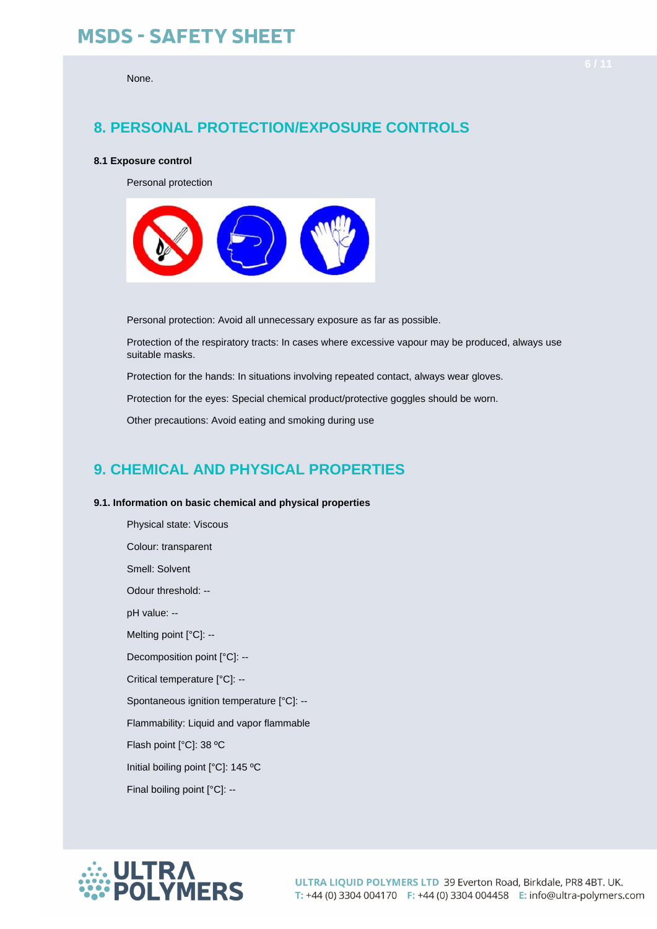#### None.

### **8. PERSONAL PROTECTION/EXPOSURE CONTROLS**

#### **8.1 Exposure control**

Personal protection



Personal protection: Avoid all unnecessary exposure as far as possible.

Protection of the respiratory tracts: In cases where excessive vapour may be produced, always use suitable masks.

Protection for the hands: In situations involving repeated contact, always wear gloves.

Protection for the eyes: Special chemical product/protective goggles should be worn.

Other precautions: Avoid eating and smoking during use

### **9. CHEMICAL AND PHYSICAL PROPERTIES**

### **9.1. Information on basic chemical and physical properties**

Physical state: Viscous Colour: transparent Smell: Solvent Odour threshold: - pH value: -- Melting point [°C]: --Decomposition point [°C]: -- Critical temperature [°C]: -- Spontaneous ignition temperature [°C]: -- Flammability: Liquid and vapor flammable Flash point [°C]: 38 ºC Initial boiling point [°C]: 145 ºC Final boiling point [°C]: --

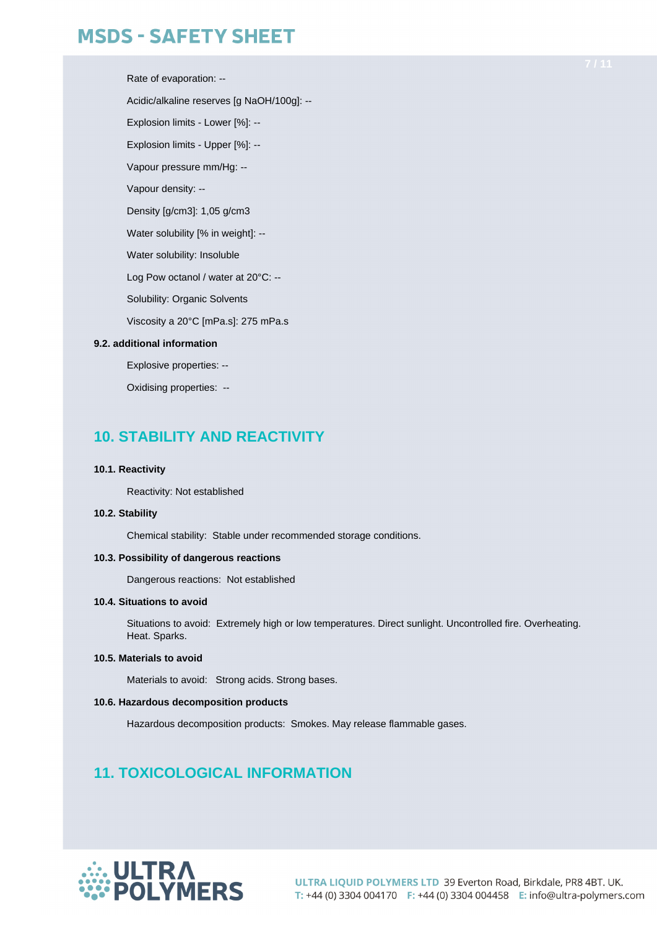Rate of evaporation: -- Acidic/alkaline reserves [g NaOH/100g]: -- Explosion limits - Lower [%]: -- Explosion limits - Upper [%]: -- Vapour pressure mm/Hg: -- Vapour density: -- Density [g/cm3]: 1,05 g/cm3 Water solubility [% in weight]: --Water solubility: Insoluble Log Pow octanol / water at 20°C: -- Solubility: Organic Solvents Viscosity a 20°C [mPa.s]: 275 mPa.s

### **9.2. additional information**

Explosive properties: --

Oxidising properties: --

### **10. STABILITY AND REACTIVITY**

#### **10.1. Reactivity**

Reactivity: Not established

### **10.2. Stability**

Chemical stability: Stable under recommended storage conditions.

### **10.3. Possibility of dangerous reactions**

Dangerous reactions: Not established

### **10.4. Situations to avoid**

Situations to avoid: Extremely high or low temperatures. Direct sunlight. Uncontrolled fire. Overheating. Heat. Sparks.

### **10.5. Materials to avoid**

Materials to avoid: Strong acids. Strong bases.

### **10.6. Hazardous decomposition products**

Hazardous decomposition products: Smokes. May release flammable gases.

### **11. TOXICOLOGICAL INFORMATION**

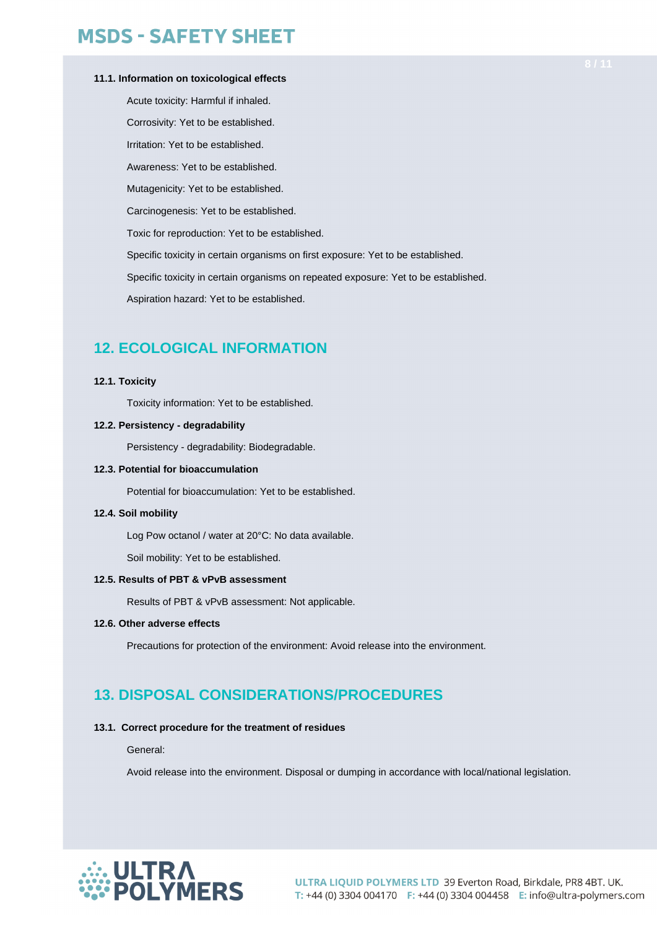### **11.1. Information on toxicological effects**

Acute toxicity: Harmful if inhaled. Corrosivity: Yet to be established. Irritation: Yet to be established. Awareness: Yet to be established. Mutagenicity: Yet to be established. Carcinogenesis: Yet to be established. Toxic for reproduction: Yet to be established. Specific toxicity in certain organisms on first exposure: Yet to be established. Specific toxicity in certain organisms on repeated exposure: Yet to be established. Aspiration hazard: Yet to be established.

### **12. ECOLOGICAL INFORMATION**

### **12.1. Toxicity**

Toxicity information: Yet to be established.

### **12.2. Persistency - degradability**

Persistency - degradability: Biodegradable.

### **12.3. Potential for bioaccumulation**

Potential for bioaccumulation: Yet to be established.

### **12.4. Soil mobility**

Log Pow octanol / water at 20°C: No data available.

Soil mobility: Yet to be established.

### **12.5. Results of PBT & vPvB assessment**

Results of PBT & vPvB assessment: Not applicable.

### **12.6. Other adverse effects**

Precautions for protection of the environment: Avoid release into the environment.

### **13. DISPOSAL CONSIDERATIONS/PROCEDURES**

### **13.1. Correct procedure for the treatment of residues**

General:

Avoid release into the environment. Disposal or dumping in accordance with local/national legislation.

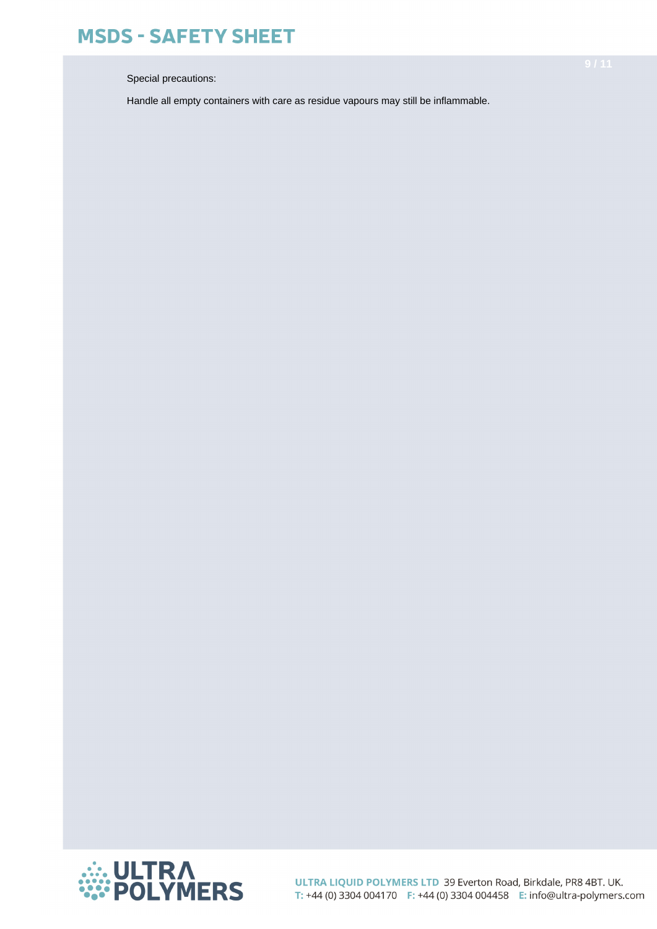Special precautions:

Handle all empty containers with care as residue vapours may still be inflammable.

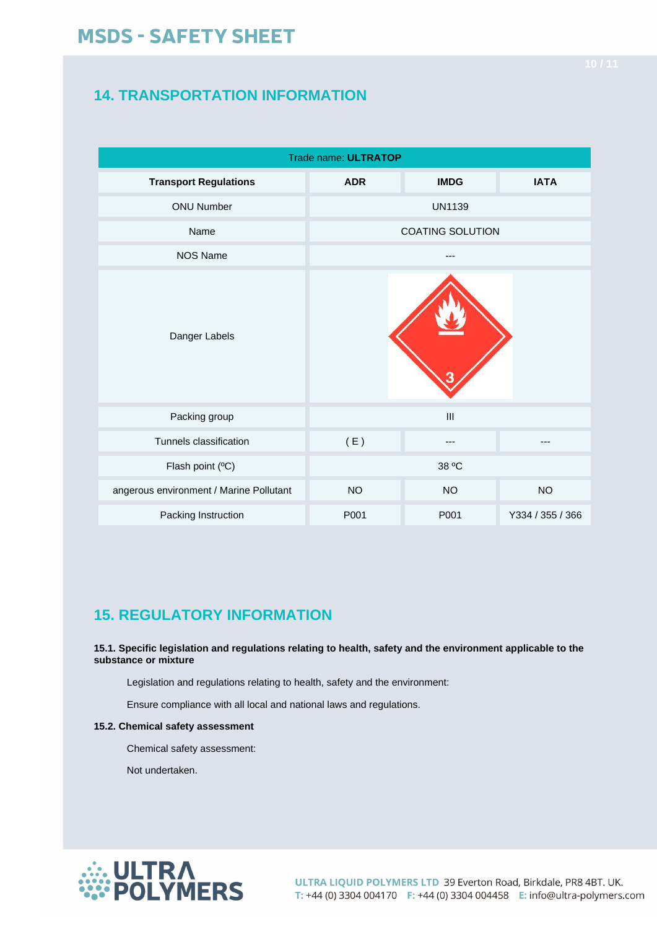## **14. TRANSPORTATION INFORMATION**

| Trade name: ULTRATOP                    |                         |               |                  |  |  |  |  |
|-----------------------------------------|-------------------------|---------------|------------------|--|--|--|--|
| <b>Transport Regulations</b>            | <b>ADR</b>              | <b>IMDG</b>   | <b>IATA</b>      |  |  |  |  |
| <b>ONU Number</b>                       |                         | <b>UN1139</b> |                  |  |  |  |  |
| Name                                    | <b>COATING SOLUTION</b> |               |                  |  |  |  |  |
| <b>NOS Name</b>                         |                         |               |                  |  |  |  |  |
| Danger Labels                           |                         |               |                  |  |  |  |  |
| Packing group                           |                         | III           |                  |  |  |  |  |
| Tunnels classification                  | (E)                     | ---           |                  |  |  |  |  |
| Flash point (°C)                        |                         | 38 °C         |                  |  |  |  |  |
| angerous environment / Marine Pollutant | <b>NO</b>               | <b>NO</b>     | <b>NO</b>        |  |  |  |  |
| Packing Instruction                     | P001                    | P001          | Y334 / 355 / 366 |  |  |  |  |

## **15. REGULATORY INFORMATION**

**15.1. Specific legislation and regulations relating to health, safety and the environment applicable to the substance or mixture**

Legislation and regulations relating to health, safety and the environment:

Ensure compliance with all local and national laws and regulations.

### **15.2. Chemical safety assessment**

Chemical safety assessment:

Not undertaken.